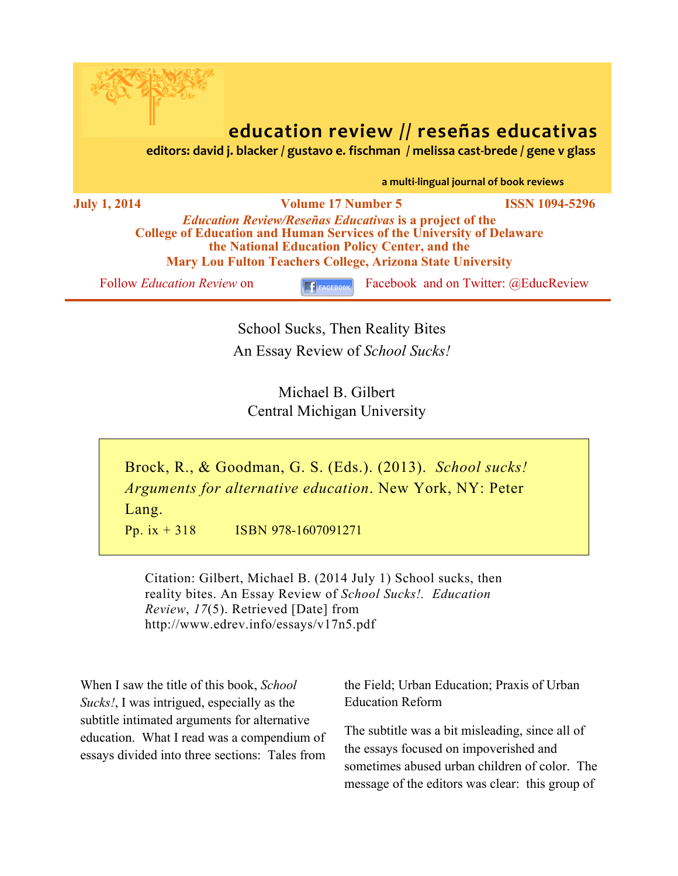

# **education review // reseñas educativas**<br> *editors: david j. blacker / gustavo e. fischman / melissa cast-brede / gene v glass*

a multi-lingual journal of book reviews

**July 1, 2014 Volume 17 Number 5 ISSN 1094-5296** *Education Review/Reseñas Educativas* **is a project of the College of Education and Human Services of the University of Delaware the National Education Policy Center, and the Mary Lou Fulton Teachers College, Arizona State University**

Follow *Education Review* on **F**<sub>FACEBOOK **F**acebook and on Twitter: @EducReview</sub>

School Sucks, Then Reality Bites An Essay Review of *School Sucks!*

Michael B. Gilbert Central Michigan University

Brock, R., & Goodman, G. S. (Eds.). (2013). *School sucks! Arguments for alternative education*. New York, NY: Peter Lang.

Pp. ix  $+318$  ISBN 978-1607091271

Citation: Gilbert, Michael B. (2014 July 1) School sucks, then reality bites. An Essay Review of *School Sucks!. Education Review*, *17*(5). Retrieved [Date] from http://www.edrev.info/essays/v17n5.pdf

When I saw the title of this book, *School Sucks!*, I was intrigued, especially as the subtitle intimated arguments for alternative education. What I read was a compendium of essays divided into three sections: Tales from

the Field; Urban Education; Praxis of Urban Education Reform

The subtitle was a bit misleading, since all of the essays focused on impoverished and sometimes abused urban children of color. The message of the editors was clear: this group of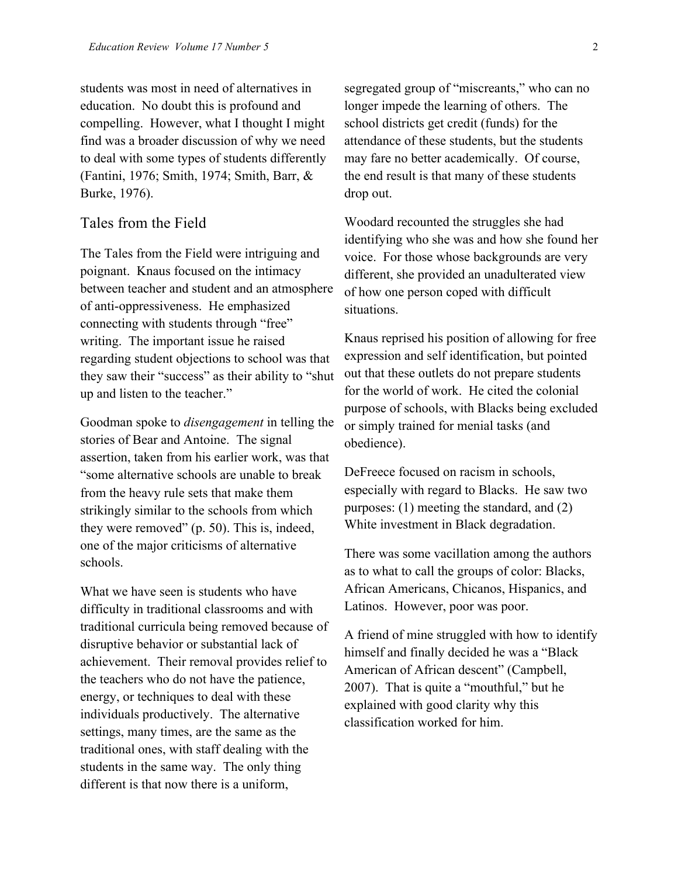students was most in need of alternatives in education. No doubt this is profound and compelling. However, what I thought I might find was a broader discussion of why we need to deal with some types of students differently (Fantini, 1976; Smith, 1974; Smith, Barr, & Burke, 1976).

# Tales from the Field

The Tales from the Field were intriguing and poignant. Knaus focused on the intimacy between teacher and student and an atmosphere of anti-oppressiveness. He emphasized connecting with students through "free" writing. The important issue he raised regarding student objections to school was that they saw their "success" as their ability to "shut up and listen to the teacher."

Goodman spoke to *disengagement* in telling the stories of Bear and Antoine. The signal assertion, taken from his earlier work, was that "some alternative schools are unable to break from the heavy rule sets that make them strikingly similar to the schools from which they were removed" (p. 50). This is, indeed, one of the major criticisms of alternative schools.

What we have seen is students who have difficulty in traditional classrooms and with traditional curricula being removed because of disruptive behavior or substantial lack of achievement. Their removal provides relief to the teachers who do not have the patience, energy, or techniques to deal with these individuals productively. The alternative settings, many times, are the same as the traditional ones, with staff dealing with the students in the same way. The only thing different is that now there is a uniform,

segregated group of "miscreants," who can no longer impede the learning of others. The school districts get credit (funds) for the attendance of these students, but the students may fare no better academically. Of course, the end result is that many of these students drop out.

Woodard recounted the struggles she had identifying who she was and how she found her voice. For those whose backgrounds are very different, she provided an unadulterated view of how one person coped with difficult situations.

Knaus reprised his position of allowing for free expression and self identification, but pointed out that these outlets do not prepare students for the world of work. He cited the colonial purpose of schools, with Blacks being excluded or simply trained for menial tasks (and obedience).

DeFreece focused on racism in schools, especially with regard to Blacks. He saw two purposes: (1) meeting the standard, and (2) White investment in Black degradation.

There was some vacillation among the authors as to what to call the groups of color: Blacks, African Americans, Chicanos, Hispanics, and Latinos. However, poor was poor.

A friend of mine struggled with how to identify himself and finally decided he was a "Black American of African descent" (Campbell, 2007). That is quite a "mouthful," but he explained with good clarity why this classification worked for him.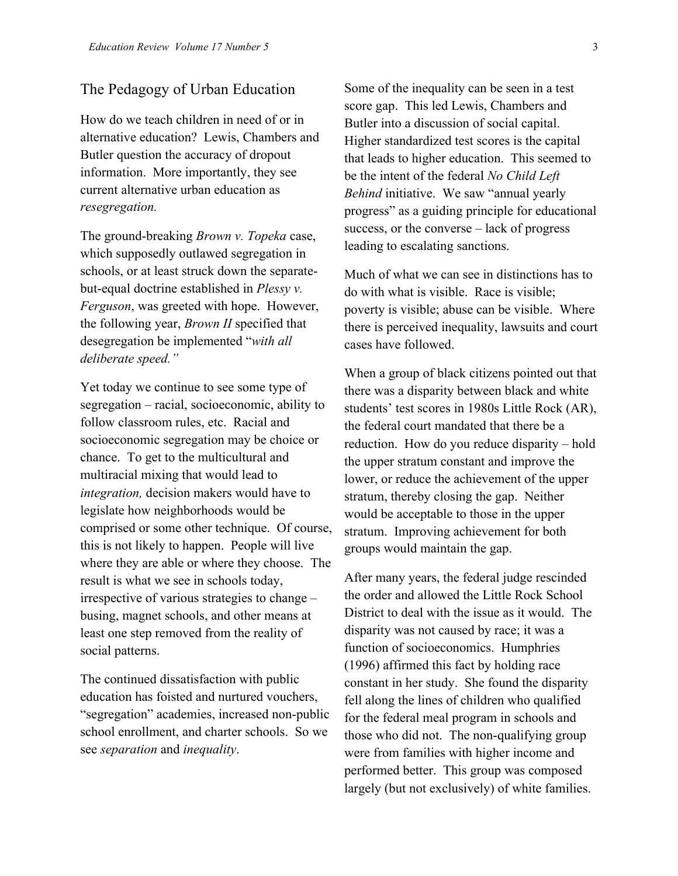### The Pedagogy of Urban Education

How do we teach children in need of or in alternative education? Lewis, Chambers and Butler question the accuracy of dropout information. More importantly, they see current alternative urban education as *resegregation.*

The ground-breaking *Brown v. Topeka* case, which supposedly outlawed segregation in schools, or at least struck down the separatebut-equal doctrine established in *Plessy v. Ferguson*, was greeted with hope. However, the following year, *Brown II* specified that desegregation be implemented "*with all deliberate speed."*

Yet today we continue to see some type of segregation – racial, socioeconomic, ability to follow classroom rules, etc. Racial and socioeconomic segregation may be choice or chance. To get to the multicultural and multiracial mixing that would lead to *integration,* decision makers would have to legislate how neighborhoods would be comprised or some other technique. Of course, this is not likely to happen. People will live where they are able or where they choose. The result is what we see in schools today, irrespective of various strategies to change – busing, magnet schools, and other means at least one step removed from the reality of social patterns.

The continued dissatisfaction with public education has foisted and nurtured vouchers, "segregation" academies, increased non-public school enrollment, and charter schools. So we see *separation* and *inequality*.

Some of the inequality can be seen in a test score gap. This led Lewis, Chambers and Butler into a discussion of social capital. Higher standardized test scores is the capital that leads to higher education. This seemed to be the intent of the federal *No Child Left Behind* initiative. We saw "annual yearly progress" as a guiding principle for educational success, or the converse – lack of progress leading to escalating sanctions.

Much of what we can see in distinctions has to do with what is visible. Race is visible; poverty is visible; abuse can be visible. Where there is perceived inequality, lawsuits and court cases have followed.

When a group of black citizens pointed out that there was a disparity between black and white students' test scores in 1980s Little Rock (AR), the federal court mandated that there be a reduction. How do you reduce disparity – hold the upper stratum constant and improve the lower, or reduce the achievement of the upper stratum, thereby closing the gap. Neither would be acceptable to those in the upper stratum. Improving achievement for both groups would maintain the gap.

After many years, the federal judge rescinded the order and allowed the Little Rock School District to deal with the issue as it would. The disparity was not caused by race; it was a function of socioeconomics. Humphries (1996) affirmed this fact by holding race constant in her study. She found the disparity fell along the lines of children who qualified for the federal meal program in schools and those who did not. The non-qualifying group were from families with higher income and performed better. This group was composed largely (but not exclusively) of white families.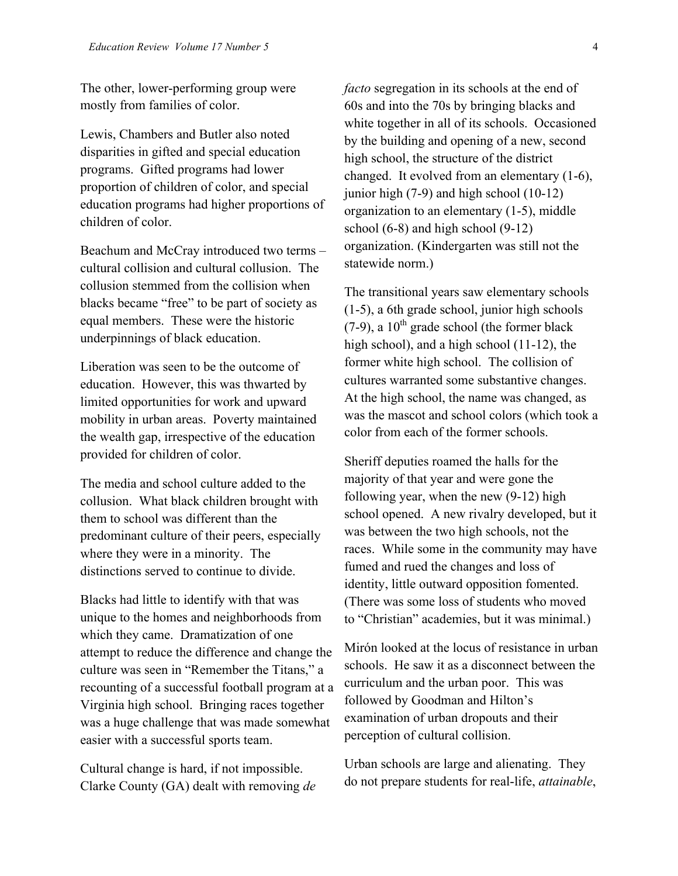The other, lower-performing group were mostly from families of color.

Lewis, Chambers and Butler also noted disparities in gifted and special education programs. Gifted programs had lower proportion of children of color, and special education programs had higher proportions of children of color.

Beachum and McCray introduced two terms – cultural collision and cultural collusion. The collusion stemmed from the collision when blacks became "free" to be part of society as equal members. These were the historic underpinnings of black education.

Liberation was seen to be the outcome of education. However, this was thwarted by limited opportunities for work and upward mobility in urban areas. Poverty maintained the wealth gap, irrespective of the education provided for children of color.

The media and school culture added to the collusion. What black children brought with them to school was different than the predominant culture of their peers, especially where they were in a minority. The distinctions served to continue to divide.

Blacks had little to identify with that was unique to the homes and neighborhoods from which they came. Dramatization of one attempt to reduce the difference and change the culture was seen in "Remember the Titans," a recounting of a successful football program at a Virginia high school. Bringing races together was a huge challenge that was made somewhat easier with a successful sports team.

Cultural change is hard, if not impossible. Clarke County (GA) dealt with removing *de*  *facto* segregation in its schools at the end of 60s and into the 70s by bringing blacks and white together in all of its schools. Occasioned by the building and opening of a new, second high school, the structure of the district changed. It evolved from an elementary (1-6), junior high (7-9) and high school (10-12) organization to an elementary (1-5), middle school (6-8) and high school (9-12) organization. (Kindergarten was still not the statewide norm.)

The transitional years saw elementary schools (1-5), a 6th grade school, junior high schools  $(7-9)$ , a  $10<sup>th</sup>$  grade school (the former black high school), and a high school (11-12), the former white high school. The collision of cultures warranted some substantive changes. At the high school, the name was changed, as was the mascot and school colors (which took a color from each of the former schools.

Sheriff deputies roamed the halls for the majority of that year and were gone the following year, when the new (9-12) high school opened. A new rivalry developed, but it was between the two high schools, not the races. While some in the community may have fumed and rued the changes and loss of identity, little outward opposition fomented. (There was some loss of students who moved to "Christian" academies, but it was minimal.)

Mirón looked at the locus of resistance in urban schools. He saw it as a disconnect between the curriculum and the urban poor. This was followed by Goodman and Hilton's examination of urban dropouts and their perception of cultural collision.

Urban schools are large and alienating. They do not prepare students for real-life, *attainable*,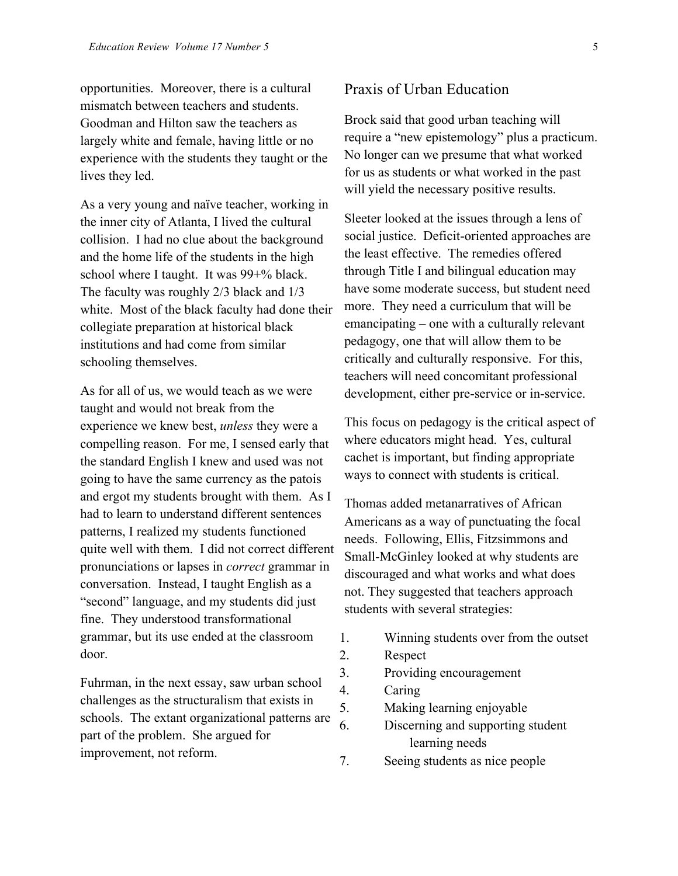opportunities. Moreover, there is a cultural mismatch between teachers and students. Goodman and Hilton saw the teachers as largely white and female, having little or no experience with the students they taught or the lives they led.

As a very young and naïve teacher, working in the inner city of Atlanta, I lived the cultural collision. I had no clue about the background and the home life of the students in the high school where I taught. It was 99+% black. The faculty was roughly 2/3 black and 1/3 white. Most of the black faculty had done their collegiate preparation at historical black institutions and had come from similar schooling themselves.

As for all of us, we would teach as we were taught and would not break from the experience we knew best, *unless* they were a compelling reason. For me, I sensed early that the standard English I knew and used was not going to have the same currency as the patois and ergot my students brought with them. As I had to learn to understand different sentences patterns, I realized my students functioned quite well with them. I did not correct different pronunciations or lapses in *correct* grammar in conversation. Instead, I taught English as a "second" language, and my students did just fine. They understood transformational grammar, but its use ended at the classroom door.

Fuhrman, in the next essay, saw urban school challenges as the structuralism that exists in schools. The extant organizational patterns are part of the problem. She argued for improvement, not reform.

# Praxis of Urban Education

Brock said that good urban teaching will require a "new epistemology" plus a practicum. No longer can we presume that what worked for us as students or what worked in the past will yield the necessary positive results.

Sleeter looked at the issues through a lens of social justice. Deficit-oriented approaches are the least effective. The remedies offered through Title I and bilingual education may have some moderate success, but student need more. They need a curriculum that will be emancipating – one with a culturally relevant pedagogy, one that will allow them to be critically and culturally responsive. For this, teachers will need concomitant professional development, either pre-service or in-service.

This focus on pedagogy is the critical aspect of where educators might head. Yes, cultural cachet is important, but finding appropriate ways to connect with students is critical.

Thomas added metanarratives of African Americans as a way of punctuating the focal needs. Following, Ellis, Fitzsimmons and Small-McGinley looked at why students are discouraged and what works and what does not. They suggested that teachers approach students with several strategies:

- 1. Winning students over from the outset
- 2. Respect
- 3. Providing encouragement
- 4. Caring
- 5. Making learning enjoyable
- 6. Discerning and supporting student learning needs
- 7. Seeing students as nice people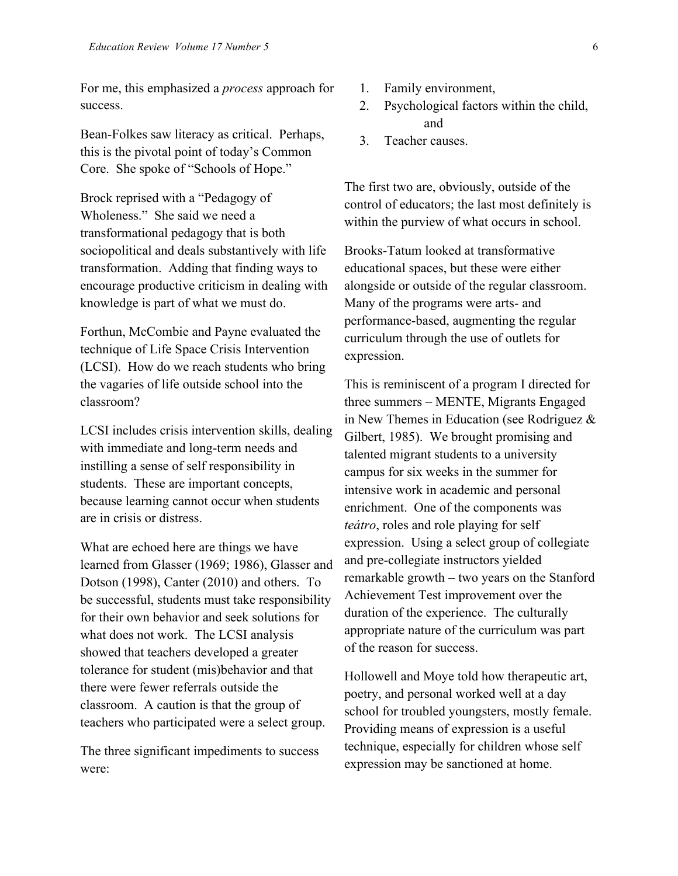For me, this emphasized a *process* approach for success.

Bean-Folkes saw literacy as critical. Perhaps, this is the pivotal point of today's Common Core. She spoke of "Schools of Hope."

Brock reprised with a "Pedagogy of Wholeness." She said we need a transformational pedagogy that is both sociopolitical and deals substantively with life transformation. Adding that finding ways to encourage productive criticism in dealing with knowledge is part of what we must do.

Forthun, McCombie and Payne evaluated the technique of Life Space Crisis Intervention (LCSI). How do we reach students who bring the vagaries of life outside school into the classroom?

LCSI includes crisis intervention skills, dealing with immediate and long-term needs and instilling a sense of self responsibility in students. These are important concepts, because learning cannot occur when students are in crisis or distress.

What are echoed here are things we have learned from Glasser (1969; 1986), Glasser and Dotson (1998), Canter (2010) and others. To be successful, students must take responsibility for their own behavior and seek solutions for what does not work. The LCSI analysis showed that teachers developed a greater tolerance for student (mis)behavior and that there were fewer referrals outside the classroom. A caution is that the group of teachers who participated were a select group.

The three significant impediments to success were:

- 1. Family environment,
- 2. Psychological factors within the child, and
- 3. Teacher causes.

The first two are, obviously, outside of the control of educators; the last most definitely is within the purview of what occurs in school.

Brooks-Tatum looked at transformative educational spaces, but these were either alongside or outside of the regular classroom. Many of the programs were arts- and performance-based, augmenting the regular curriculum through the use of outlets for expression.

This is reminiscent of a program I directed for three summers – MENTE, Migrants Engaged in New Themes in Education (see Rodriguez & Gilbert, 1985). We brought promising and talented migrant students to a university campus for six weeks in the summer for intensive work in academic and personal enrichment. One of the components was *teátro*, roles and role playing for self expression. Using a select group of collegiate and pre-collegiate instructors yielded remarkable growth – two years on the Stanford Achievement Test improvement over the duration of the experience. The culturally appropriate nature of the curriculum was part of the reason for success.

Hollowell and Moye told how therapeutic art, poetry, and personal worked well at a day school for troubled youngsters, mostly female. Providing means of expression is a useful technique, especially for children whose self expression may be sanctioned at home.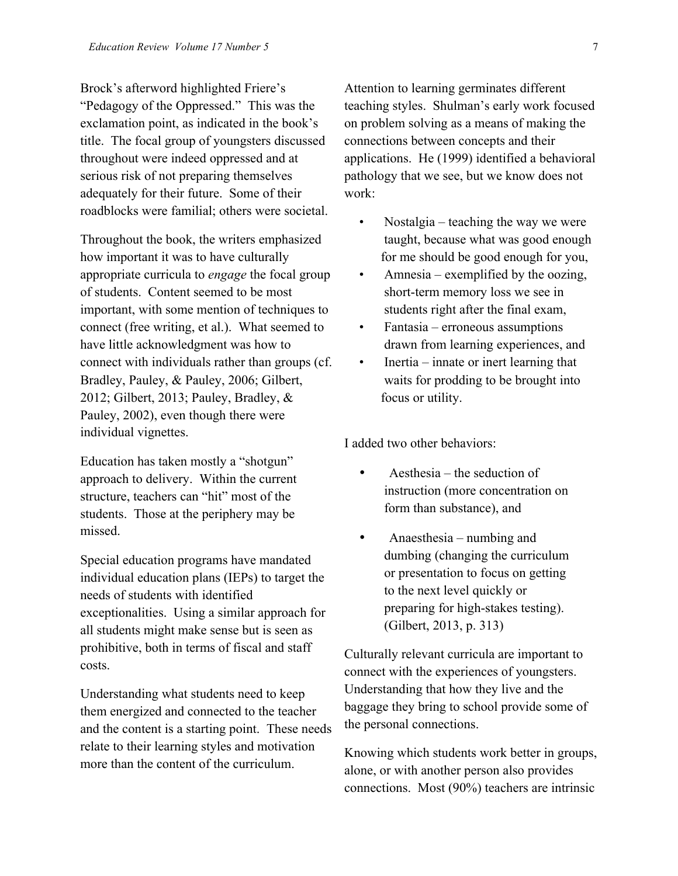Brock's afterword highlighted Friere's "Pedagogy of the Oppressed." This was the exclamation point, as indicated in the book's title. The focal group of youngsters discussed throughout were indeed oppressed and at serious risk of not preparing themselves adequately for their future. Some of their roadblocks were familial; others were societal.

Throughout the book, the writers emphasized how important it was to have culturally appropriate curricula to *engage* the focal group of students. Content seemed to be most important, with some mention of techniques to connect (free writing, et al.). What seemed to have little acknowledgment was how to connect with individuals rather than groups (cf. Bradley, Pauley, & Pauley, 2006; Gilbert, 2012; Gilbert, 2013; Pauley, Bradley, & Pauley, 2002), even though there were individual vignettes.

Education has taken mostly a "shotgun" approach to delivery. Within the current structure, teachers can "hit" most of the students. Those at the periphery may be missed.

Special education programs have mandated individual education plans (IEPs) to target the needs of students with identified exceptionalities. Using a similar approach for all students might make sense but is seen as prohibitive, both in terms of fiscal and staff costs.

Understanding what students need to keep them energized and connected to the teacher and the content is a starting point. These needs relate to their learning styles and motivation more than the content of the curriculum.

Attention to learning germinates different teaching styles. Shulman's early work focused on problem solving as a means of making the connections between concepts and their applications. He (1999) identified a behavioral pathology that we see, but we know does not work:

- Nostalgia teaching the way we were taught, because what was good enough for me should be good enough for you,
- Amnesia exemplified by the oozing, short-term memory loss we see in students right after the final exam,
- Fantasia erroneous assumptions drawn from learning experiences, and
- Inertia innate or inert learning that waits for prodding to be brought into focus or utility.

I added two other behaviors:

- Aesthesia the seduction of instruction (more concentration on form than substance), and
- Anaesthesia numbing and dumbing (changing the curriculum or presentation to focus on getting to the next level quickly or preparing for high-stakes testing). (Gilbert, 2013, p. 313)

Culturally relevant curricula are important to connect with the experiences of youngsters. Understanding that how they live and the baggage they bring to school provide some of the personal connections.

Knowing which students work better in groups, alone, or with another person also provides connections. Most (90%) teachers are intrinsic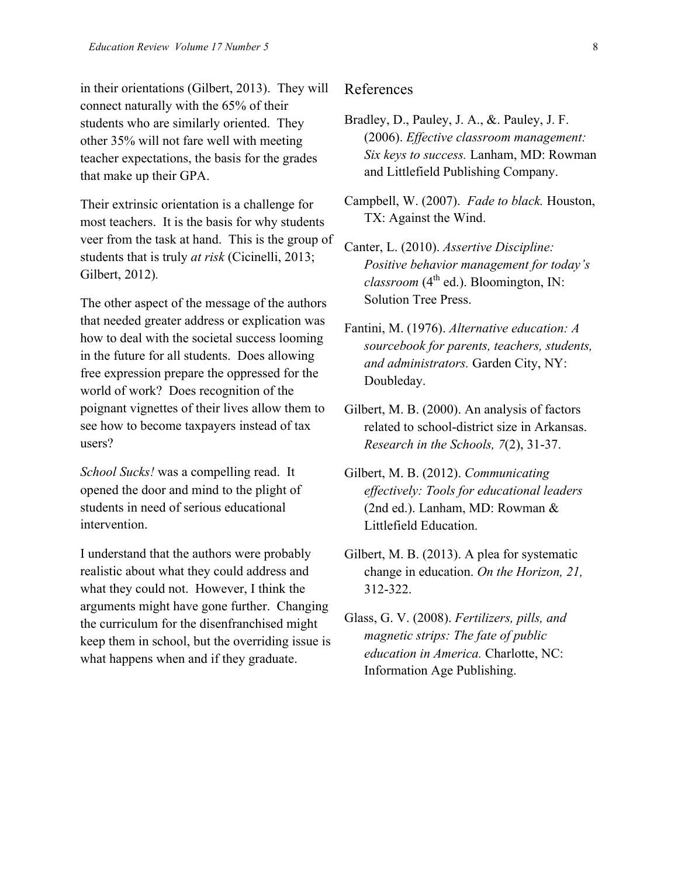in their orientations (Gilbert, 2013). They will connect naturally with the 65% of their students who are similarly oriented. They other 35% will not fare well with meeting teacher expectations, the basis for the grades that make up their GPA.

Their extrinsic orientation is a challenge for most teachers. It is the basis for why students veer from the task at hand. This is the group of students that is truly *at risk* (Cicinelli, 2013; Gilbert, 2012)*.*

The other aspect of the message of the authors that needed greater address or explication was how to deal with the societal success looming in the future for all students. Does allowing free expression prepare the oppressed for the world of work? Does recognition of the poignant vignettes of their lives allow them to see how to become taxpayers instead of tax users?

*School Sucks!* was a compelling read. It opened the door and mind to the plight of students in need of serious educational intervention.

I understand that the authors were probably realistic about what they could address and what they could not. However, I think the arguments might have gone further. Changing the curriculum for the disenfranchised might keep them in school, but the overriding issue is what happens when and if they graduate.

#### References

- Bradley, D., Pauley, J. A., &. Pauley, J. F. (2006). *Effective classroom management: Six keys to success.* Lanham, MD: Rowman and Littlefield Publishing Company.
- Campbell, W. (2007). *Fade to black.* Houston, TX: Against the Wind.
- Canter, L. (2010). *Assertive Discipline: Positive behavior management for today's*   $classroom$  ( $4<sup>th</sup>$  ed.). Bloomington, IN: Solution Tree Press.
- Fantini, M. (1976). *Alternative education: A sourcebook for parents, teachers, students, and administrators.* Garden City, NY: Doubleday.
- Gilbert, M. B. (2000). An analysis of factors related to school-district size in Arkansas. *Research in the Schools, 7*(2), 31-37.
- Gilbert, M. B. (2012). *Communicating effectively: Tools for educational leaders* (2nd ed.). Lanham, MD: Rowman & Littlefield Education.
- Gilbert, M. B. (2013). A plea for systematic change in education. *On the Horizon, 21,* 312-322.
- Glass, G. V. (2008). *Fertilizers, pills, and magnetic strips: The fate of public education in America.* Charlotte, NC: Information Age Publishing.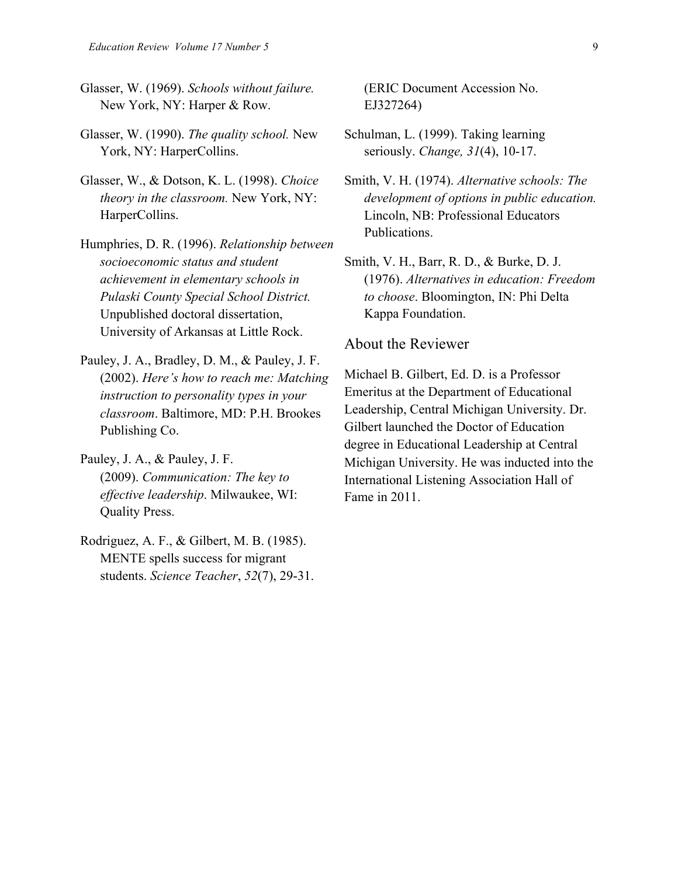- Glasser, W. (1969). *Schools without failure.*  New York, NY: Harper & Row.
- Glasser, W. (1990). *The quality school.* New York, NY: HarperCollins.
- Glasser, W., & Dotson, K. L. (1998). *Choice theory in the classroom.* New York, NY: HarperCollins.
- Humphries, D. R. (1996). *Relationship between socioeconomic status and student achievement in elementary schools in Pulaski County Special School District.* Unpublished doctoral dissertation, University of Arkansas at Little Rock.
- Pauley, J. A., Bradley, D. M., & Pauley, J. F. (2002). *Here's how to reach me: Matching instruction to personality types in your classroom*. Baltimore, MD: P.H. Brookes Publishing Co.
- Pauley, J. A., & Pauley, J. F. (2009). *Communication: The key to effective leadership*. Milwaukee, WI: Quality Press.
- Rodriguez, A. F., & Gilbert, M. B. (1985). MENTE spells success for migrant students. *Science Teacher*, *52*(7), 29-31.

(ERIC Document Accession No. EJ327264)

- Schulman, L. (1999). Taking learning seriously. *Change, 31*(4), 10-17.
- Smith, V. H. (1974). *Alternative schools: The development of options in public education.*  Lincoln, NB: Professional Educators Publications.
- Smith, V. H., Barr, R. D., & Burke, D. J. (1976). *Alternatives in education: Freedom to choose*. Bloomington, IN: Phi Delta Kappa Foundation.

#### About the Reviewer

Michael B. Gilbert, Ed. D. is a Professor Emeritus at the Department of Educational Leadership, Central Michigan University. Dr. Gilbert launched the Doctor of Education degree in Educational Leadership at Central Michigan University. He was inducted into the International Listening Association Hall of Fame in 2011.